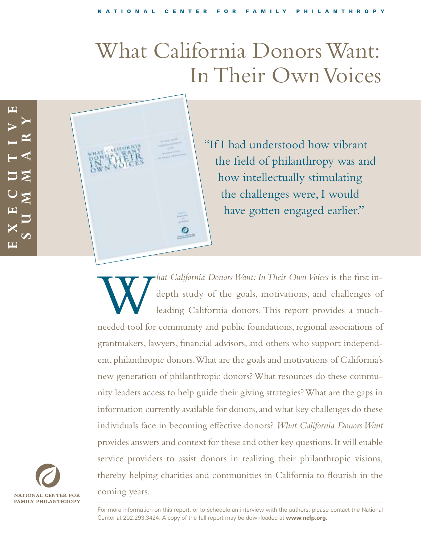# What California Donors Want: In Their Own Voices



"If I had understood how vibrant the field of philanthropy was and how intellectually stimulating the challenges were, I would have gotten engaged earlier."

*M hat California Donors Want: In Their Own Voices* is the first in-<br>depth study of the goals, motivations, and challenges of<br>leading California donors. This report provides a much-<br>needed tool for community and public f depth study of the goals, motivations, and challenges of leading California donors. This report provides a muchneeded tool for community and public foundations, regional associations of grantmakers, lawyers, financial advisors, and others who support independent, philanthropic donors.What are the goals and motivations of California's new generation of philanthropic donors? What resources do these community leaders access to help guide their giving strategies? What are the gaps in information currently available for donors, and what key challenges do these individuals face in becoming effective donors? *What California Donors Want* provides answers and context for these and other key questions.It will enable service providers to assist donors in realizing their philanthropic visions, thereby helping charities and communities in California to flourish in the coming years.



For more information on this report, or to schedule an interview with the authors, please contact the National Center at 202.293.3424. A copy of the full report may be downloaded at **www.ncfp.org**.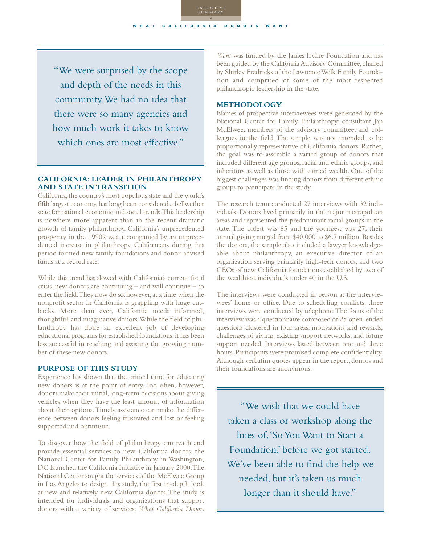"We were surprised by the scope and depth of the needs in this community.We had no idea that there were so many agencies and how much work it takes to know which ones are most effective."

# **CALIFORNIA: LEADER IN PHILANTHROPY AND STATE IN TRANSITION**

California,the country's most populous state and the world's fifth largest economy,has long been considered a bellwether state for national economic and social trends.This leadership is nowhere more apparent than in the recent dramatic growth of family philanthropy. California's unprecedented prosperity in the 1990's was accompanied by an unprecedented increase in philanthropy. Californians during this period formed new family foundations and donor-advised funds at a record rate.

While this trend has slowed with California's current fiscal crisis, new donors are continuing – and will continue – to enter the field. They now do so, however, at a time when the nonprofit sector in California is grappling with huge cutbacks. More than ever, California needs informed, thoughtful, and imaginative donors.While the field of philanthropy has done an excellent job of developing educational programs for established foundations, it has been less successful in reaching and assisting the growing number of these new donors.

#### **PURPOSE OF THIS STUDY**

Experience has shown that the critical time for educating new donors is at the point of entry. Too often, however, donors make their initial, long-term decisions about giving vehicles when they have the least amount of information about their options.Timely assistance can make the difference between donors feeling frustrated and lost or feeling supported and optimistic.

To discover how the field of philanthropy can reach and provide essential services to new California donors, the National Center for Family Philanthropy in Washington, DC launched the California Initiative in January 2000.The National Center sought the services of the McElwee Group in Los Angeles to design this study, the first in-depth look at new and relatively new California donors.The study is intended for individuals and organizations that support donors with a variety of services. *What California Donors*

*Want* was funded by the James Irvine Foundation and has been guided by the California Advisory Committee, chaired by Shirley Fredricks of the Lawrence Welk Family Foundation and comprised of some of the most respected philanthropic leadership in the state.

#### **METHODOLOGY**

Names of prospective interviewees were generated by the National Center for Family Philanthropy; consultant Jan McElwee; members of the advisory committee; and colleagues in the field. The sample was not intended to be proportionally representative of California donors. Rather, the goal was to assemble a varied group of donors that included different age groups, racial and ethnic groups, and inheritors as well as those with earned wealth. One of the biggest challenges was finding donors from different ethnic groups to participate in the study.

The research team conducted 27 interviews with 32 individuals. Donors lived primarily in the major metropolitan areas and represented the predominant racial groups in the state. The oldest was 85 and the youngest was 27; their annual giving ranged from \$40,000 to \$6.7 million. Besides the donors, the sample also included a lawyer knowledgeable about philanthropy, an executive director of an organization serving primarily high-tech donors, and two CEOs of new California foundations established by two of the wealthiest individuals under 40 in the U.S.

The interviews were conducted in person at the interviewees' home or office. Due to scheduling conflicts, three interviews were conducted by telephone.The focus of the interview was a questionnaire composed of 25 open-ended questions clustered in four areas: motivations and rewards, challenges of giving, existing support networks, and future support needed. Interviews lasted between one and three hours.Participants were promised complete confidentiality. Although verbatim quotes appear in the report, donors and their foundations are anonymous.

"We wish that we could have taken a class or workshop along the lines of,'So You Want to Start a Foundation,' before we got started. We've been able to find the help we needed, but it's taken us much longer than it should have."

WHAT CALIFORNIA DONORS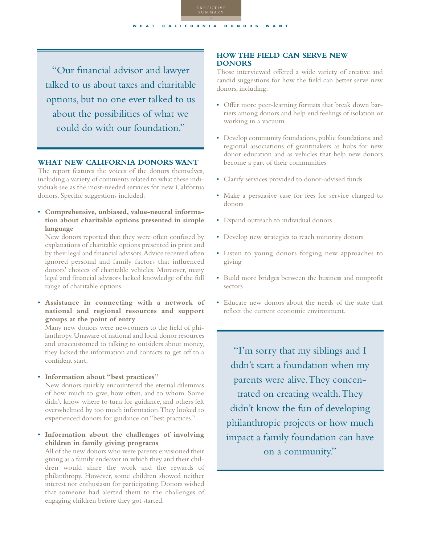"Our financial advisor and lawyer talked to us about taxes and charitable options, but no one ever talked to us about the possibilities of what we could do with our foundation."

WHAT CALIFORNIA DONORS

EXECUTIVE SUMMARY

## **WHAT NEW CALIFORNIA DONORS WANT**

The report features the voices of the donors themselves, including a variety of comments related to what these individuals see as the most-needed services for new California donors. Specific suggestions included:

• **Comprehensive, unbiased, value-neutral information about charitable options presented in simple language** 

New donors reported that they were often confused by explanations of charitable options presented in print and by their legal and financial advisors.Advice received often ignored personal and family factors that influenced donors' choices of charitable vehicles. Moreover, many legal and financial advisors lacked knowledge of the full range of charitable options.

• **Assistance in connecting with a network of national and regional resources and support groups at the point of entry**

Many new donors were newcomers to the field of philanthropy.Unaware of national and local donor resources and unaccustomed to talking to outsiders about money, they lacked the information and contacts to get off to a confident start.

• **Information about "best practices"**

New donors quickly encountered the eternal dilemmas of how much to give, how often, and to whom. Some didn't know where to turn for guidance, and others felt overwhelmed by too much information.They looked to experienced donors for guidance on "best practices."

• **Information about the challenges of involving children in family giving programs**

All of the new donors who were parents envisioned their giving as a family endeavor in which they and their children would share the work and the rewards of philanthropy. However, some children showed neither interest nor enthusiasm for participating. Donors wished that someone had alerted them to the challenges of engaging children before they got started.

## **HOW THE FIELD CAN SERVE NEW DONORS**

Those interviewed offered a wide variety of creative and candid suggestions for how the field can better serve new donors, including:

- Offer more peer-learning formats that break down barriers among donors and help end feelings of isolation or working in a vacuum
- Develop community foundations, public foundations, and regional associations of grantmakers as hubs for new donor education and as vehicles that help new donors become a part of their communities
- Clarify services provided to donor-advised funds
- Make a persuasive case for fees for service charged to donors
- Expand outreach to individual donors
- Develop new strategies to reach minority donors
- Listen to young donors forging new approaches to giving
- Build more bridges between the business and nonprofit sectors
- Educate new donors about the needs of the state that reflect the current economic environment.

"I'm sorry that my siblings and I didn't start a foundation when my parents were alive.They concentrated on creating wealth.They didn't know the fun of developing philanthropic projects or how much impact a family foundation can have on a community."